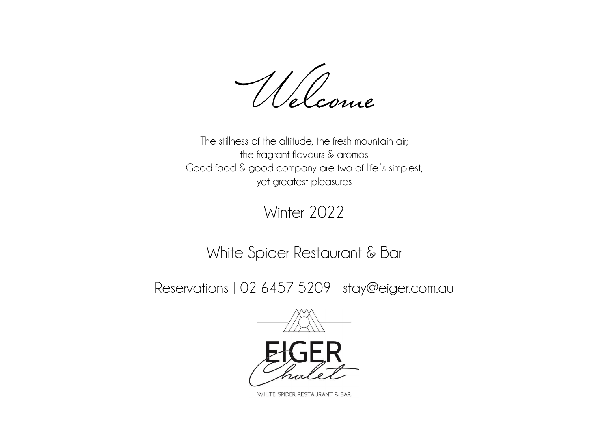Welcome

The stillness of the altitude, the fresh mountain air; the fragrant flavours & aromas Good food & good company are two of life's simplest, yet greatest pleasures

Winter 2022

White Spider Restaurant & Bar

Reservations | 02 6457 5209 | [stay@eiger.com.au](mailto:stay@eiger.com.au)



WHITE SPIDER RESTAURANT & BAR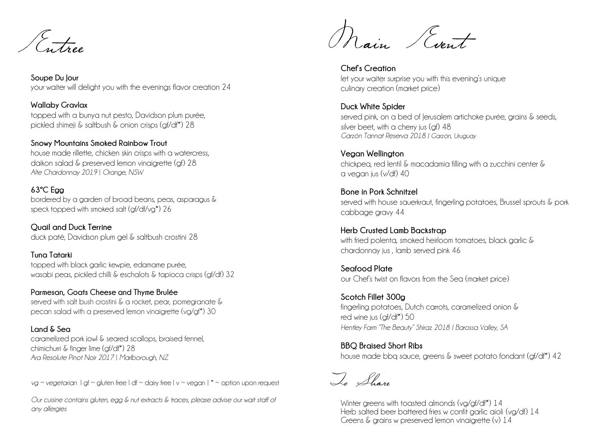Entree

**Soupe Du Jour** your waiter will delight you with the evenings flavor creation 24

**Wallaby Gravlax** topped with a bunya nut pesto, Davidson plum purée, pickled shimeji & saltbush & onion crisps (gf/df\*) 28

**Snowy Mountains Smoked Rainbow Trout**  house made rillette, chicken skin crisps with a watercress, daikon salad & preserved lemon vinaigrette (gf) 28 *Alte Chardonnay 2019* | *Orange, NSW* 

## **63ºC Egg**

bordered by a garden of broad beans, peas, asparagus & speck topped with smoked salt (gf/df/vg\*) 26

**Quail and Duck Terrine** duck paté, Davidson plum gel & saltbush crostini 28

**Tuna Tatarki** topped with black garlic kewpie, edamame purée, wasabi peas, pickled chilli & eschalots & tapioca crisps (gf/df) 32

**Parmesan, Goats Cheese and Thyme Brulée** served with salt bush crostini & a rocket, pear, pomegranate & pecan salad with a preserved lemon vinaigrette (vg/gf\*) 30

**Land & Sea** caramelized pork jowl & seared scallops, braised fennel, chimichurri & finger lime (gf/df<sup>\*</sup>) 28 *Ara Resolute Pinot Noir 2017* | *Marlborough, NZ* 

*vg ~ vegetarian*  $\log \sim$  gluten free  $\log \sim$  dairy free  $\log \sim$  vegan  $\log \sim$  option upon request

*Our cuisine contains gluten, egg & nut extracts & traces, please advise our wait staff of any allergies*

Main Event

**Chef's Creation** let your waiter surprise you with this evening's unique culinary creation (market price)

**Duck White Spider** served pink, on a bed of Jerusalem artichoke purée, grains & seeds, silver beet, with a cherry jus (af) 48 *Garzón Tannat Reserva 2018 | Garzón, Uruguay*

**Vegan Wellington** chickpea, red lentil & macadamia filling with a zucchini center & a vegan jus (v/df) 40

**Bone in Pork Schnitzel**  served with house sauerkraut, fingerling potatoes, Brussel sprouts & pork cabbage gravy 44

**Herb Crusted Lamb Backstrap** with fried polenta, smoked heirloom tomatoes, black garlic & chardonnay jus , lamb served pink 46

**Seafood Plate** our Chef's twist on flavors from the Sea (market price)

**Scotch Fillet 300g** fingerling potatoes, Dutch carrots, caramelized onion & red wine jus (af/df<sup>\*</sup>) 50 *Hentley Farm "The Beauty" Shiraz 2018 | Barossa Valley, SA*

**BBQ Braised Short Ribs** house made bba sauce, greens & sweet potato fondant (gf/df\*) 42

To Share

Winter greens with toasted almonds (vg/gf/df\*) 14 Herb salted beer battered fries w confit garlic aioli (va/df) 14 Greens & grains w preserved lemon vinaigrette (v) 14